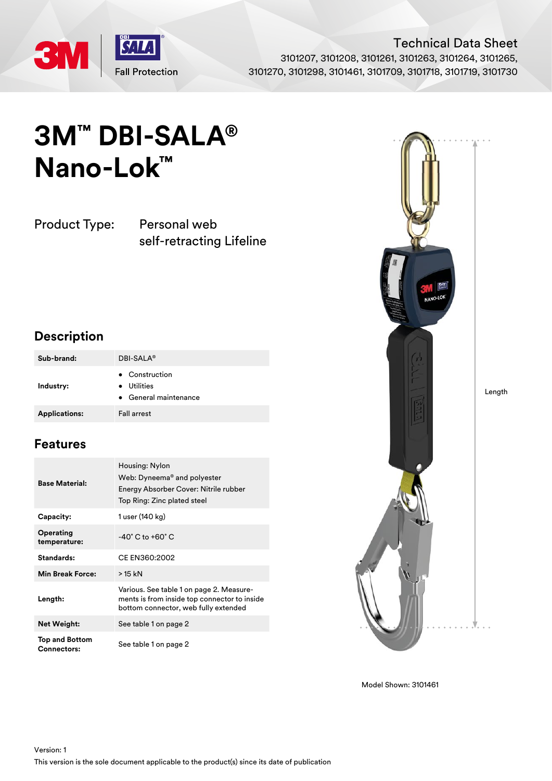

Technical Data Sheet 3101207, 3101208, 3101261, 3101263, 3101264, 3101265, 3101270, 3101298, 3101461, 3101709, 3101718, 3101719, 3101730

# **3M™ DBI-SALA® Nano-Lok™**

Product Type: Personal web

self-retracting Lifeline

### **Description**

| Sub-brand:           | DBI-SALA <sup>®</sup>                                             |
|----------------------|-------------------------------------------------------------------|
| Industry:            | • Construction<br>Utilities<br>$\bullet$<br>• General maintenance |
| <b>Applications:</b> | <b>Fall arrest</b>                                                |

### **Features**

| <b>Base Material:</b>                       | Housing: Nylon<br>Web: Dyneema <sup>®</sup> and polyester<br>Energy Absorber Cover: Nitrile rubber<br>Top Ring: Zinc plated steel |  |  |
|---------------------------------------------|-----------------------------------------------------------------------------------------------------------------------------------|--|--|
| Capacity:                                   | 1 user (140 kg)                                                                                                                   |  |  |
| Operating<br>temperature:                   | $-40^{\circ}$ C to $+60^{\circ}$ C                                                                                                |  |  |
| Standards:                                  | CE EN360:2002                                                                                                                     |  |  |
| <b>Min Break Force:</b>                     | > 15 kN                                                                                                                           |  |  |
| Length:                                     | Various. See table 1 on page 2. Measure-<br>ments is from inside top connector to inside<br>bottom connector, web fully extended  |  |  |
| <b>Net Weight:</b>                          | See table 1 on page 2                                                                                                             |  |  |
| <b>Top and Bottom</b><br><b>Connectors:</b> | See table 1 on page 2                                                                                                             |  |  |



Model Shown: 3101461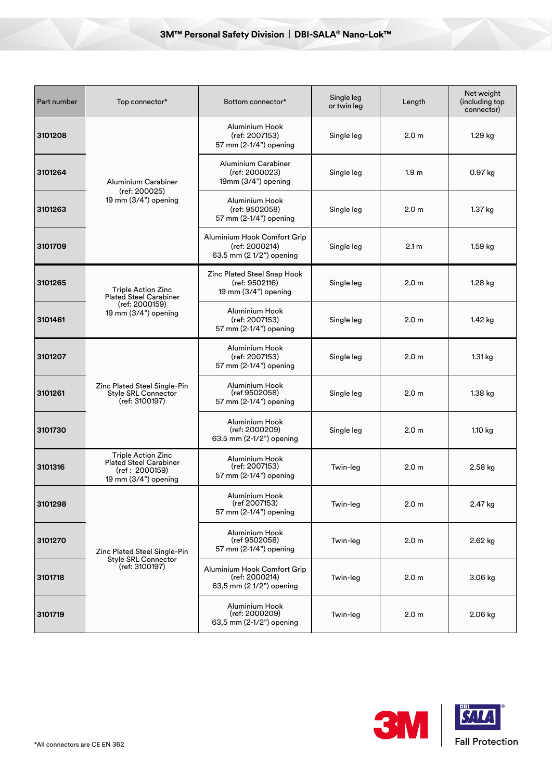| Part number | Top connector*                                                                                         | Bottom connector*                                                         | Single leg<br>or twin leg | Length           | Net weight<br>(including top<br>connector) |
|-------------|--------------------------------------------------------------------------------------------------------|---------------------------------------------------------------------------|---------------------------|------------------|--------------------------------------------|
| 3101208     | Aluminium Carabiner<br>(ref: 200025)<br>19 mm (3/4") opening                                           | Aluminium Hook<br>(ref: 2007153)<br>57 mm (2-1/4") opening                | Single leg                | 2.0 <sub>m</sub> | 1.29 kg                                    |
| 3101264     |                                                                                                        | Aluminium Carabiner<br>(ref: 2000023)<br>$19mm(3/4")$ opening             | Single leg                | 1.9 <sub>m</sub> | 0.97 kg                                    |
| 3101263     |                                                                                                        | Aluminium Hook<br>(ref: 9502058)<br>57 mm (2-1/4") opening                | Single leg                | 2.0 <sub>m</sub> | 1.37 kg                                    |
| 3101709     |                                                                                                        | Aluminium Hook Comfort Grip<br>(ref: 2000214)<br>63.5 mm (2 1/2") opening | Single leg                | 2.1 <sub>m</sub> | $1.59$ kg                                  |
| 3101265     | <b>Triple Action Zinc</b><br><b>Plated Steel Carabiner</b><br>(ref: 2000159)<br>19 mm $(3/4")$ opening | Zinc Plated Steel Snap Hook<br>(ref: 9502116)<br>19 mm (3/4") opening     | Single leg                | 2.0 <sub>m</sub> | 1.28 kg                                    |
| 3101461     |                                                                                                        | Aluminium Hook<br>(ref: 2007153)<br>57 mm (2-1/4") opening                | Single leg                | 2.0 <sub>m</sub> | 1.42 kg                                    |
| 3101207     | Zinc Plated Steel Single-Pin<br><b>Style SRL Connector</b><br>(ref: 3100197)                           | Aluminium Hook<br>(ref: 2007153)<br>57 mm (2-1/4") opening                | Single leg                | 2.0 <sub>m</sub> | 1.31 kg                                    |
| 3101261     |                                                                                                        | Aluminium Hook<br>(ref 9502058)<br>57 mm (2-1/4") opening                 | Single leg                | 2.0 <sub>m</sub> | 1.38 kg                                    |
| 3101730     |                                                                                                        | Aluminium Hook<br>(ref: 2000209)<br>63.5 mm (2-1/2") opening              | Single leg                | 2.0 <sub>m</sub> | $1.10$ kg                                  |
| 3101316     | <b>Triple Action Zinc</b><br><b>Plated Steel Carabiner</b><br>(ref: 2000159)<br>19 mm (3/4") opening   | Aluminium Hook<br>(ref: 2007153)<br>57 mm (2-1/4") opening                | Twin-leg                  | 2.0 <sub>m</sub> | 2.58 kg                                    |
| 3101298     | Zinc Plated Steel Single-Pin<br><b>Style SRL Connector</b><br>(ref: 3100197)                           | Aluminium Hook<br>(ret 2007153)<br>57 mm (2-1/4") opening                 | Twin-leg                  | 2.0 <sub>m</sub> | 2.47 kg                                    |
| 3101270     |                                                                                                        | Aluminium Hook<br>(ref 9502058)<br>57 mm (2-1/4") opening                 | Twin-leg                  | 2.0 <sub>m</sub> | 2.62 kg                                    |
| 3101718     |                                                                                                        | Aluminium Hook Comfort Grip<br>(ref: 2000214)<br>63,5 mm (2 1/2") opening | Twin-leg                  | 2.0 <sub>m</sub> | 3.06 kg                                    |
| 3101719     |                                                                                                        | Aluminium Hook<br>(ref: 2000209)<br>63,5 mm (2-1/2") opening              | Twin-leg                  | 2.0 <sub>m</sub> | 2.06 kg                                    |

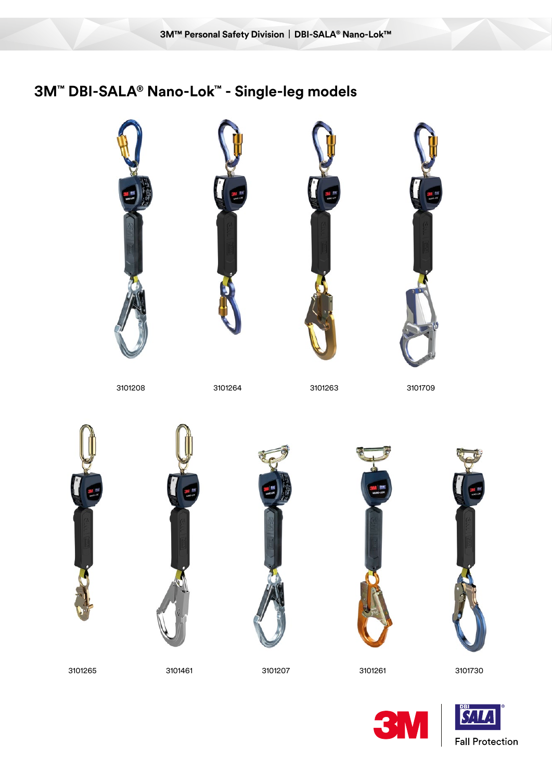## **3M™ DBI-SALA® Nano-Lok™ - Single-leg models**









3101264 3101263 3101709











3101730